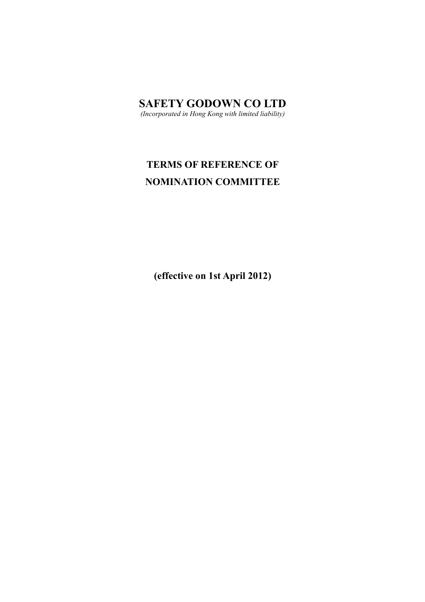# **SAFETY GODOWN CO LTD**

*(Incorporated in Hong Kong with limited liability)*

# **TERMS OF REFERENCE OF NOMINATION COMMITTEE**

**(effective on 1st April 2012)**